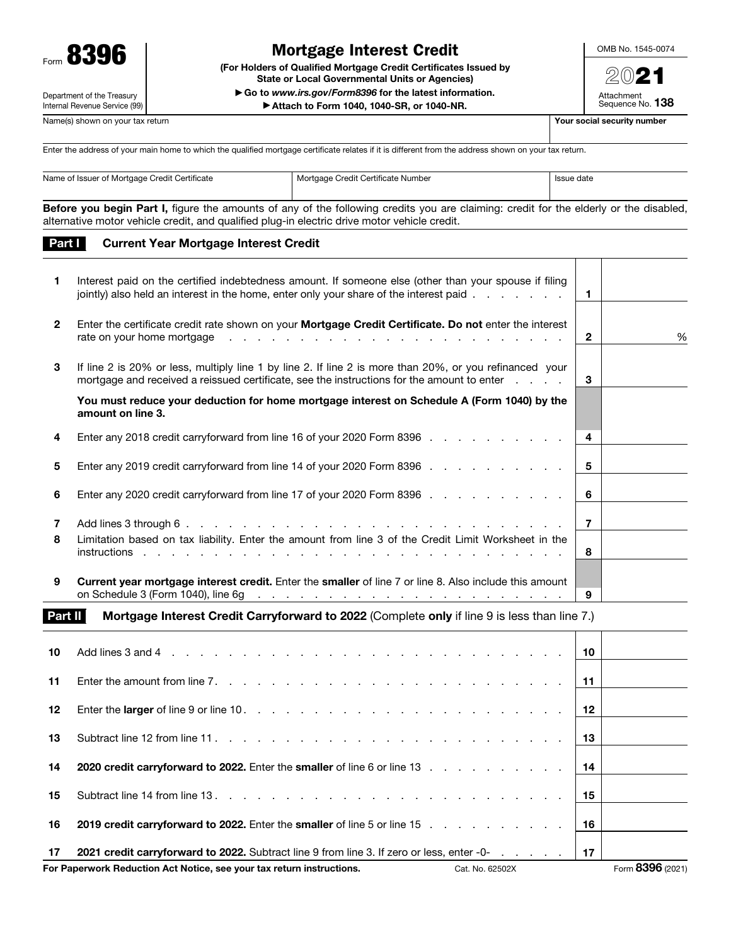

# Mortgage Interest Credit

(For Holders of Qualified Mortgage Credit Certificates Issued by State or Local Governmental Units or Agencies) ▶ Go to *www.irs.gov/Form8396* for the latest information.

▶ Attach to Form 1040, 1040-SR, or 1040-NR.

OMB No. 1545-0074

 $\mathcal{D}$ Attachment Sequence No. 138

Department of the Treasury Internal Revenue Service (99)

Name(s) shown on your tax return  $\blacksquare$  Name(s) shown on your tax return  $\blacksquare$ 

Part I Current Year Mortgage Interest Credit

Enter the address of your main home to which the qualified mortgage certificate relates if it is different from the address shown on your tax return.

| Name of Issuer of Mortgage Credit Certificate | Mortgage Credit Certificate Number | Issue date |
|-----------------------------------------------|------------------------------------|------------|
|                                               |                                    |            |

Before you begin Part I, figure the amounts of any of the following credits you are claiming: credit for the elderly or the disabled, alternative motor vehicle credit, and qualified plug-in electric drive motor vehicle credit.

| 1.              | Interest paid on the certified indebtedness amount. If someone else (other than your spouse if filing<br>jointly) also held an interest in the home, enter only your share of the interest paid                                                                                                                                                                       | $\mathbf 1$  |   |
|-----------------|-----------------------------------------------------------------------------------------------------------------------------------------------------------------------------------------------------------------------------------------------------------------------------------------------------------------------------------------------------------------------|--------------|---|
| $\mathbf{2}$    | Enter the certificate credit rate shown on your Mortgage Credit Certificate. Do not enter the interest<br>rate on your home mortgage<br>and a construction of the construction of the construction of the construction of the construction of the construction of the construction of the construction of the construction of the construction of the construction of | $\mathbf{2}$ | % |
| 3               | If line 2 is 20% or less, multiply line 1 by line 2. If line 2 is more than 20%, or you refinanced your<br>mortgage and received a reissued certificate, see the instructions for the amount to enter                                                                                                                                                                 | 3            |   |
|                 | You must reduce your deduction for home mortgage interest on Schedule A (Form 1040) by the<br>amount on line 3.                                                                                                                                                                                                                                                       |              |   |
| 4               | Enter any 2018 credit carryforward from line 16 of your 2020 Form 8396                                                                                                                                                                                                                                                                                                | 4            |   |
| 5               | Enter any 2019 credit carryforward from line 14 of your 2020 Form 8396                                                                                                                                                                                                                                                                                                | 5            |   |
| 6               | Enter any 2020 credit carryforward from line 17 of your 2020 Form 8396                                                                                                                                                                                                                                                                                                | 6            |   |
| $\overline{7}$  |                                                                                                                                                                                                                                                                                                                                                                       | 7            |   |
| 8               | Limitation based on tax liability. Enter the amount from line 3 of the Credit Limit Worksheet in the                                                                                                                                                                                                                                                                  | 8            |   |
| 9               | Current year mortgage interest credit. Enter the smaller of line 7 or line 8. Also include this amount<br>on Schedule 3 (Form 1040), line 6g<br>the contract of the contract of the contract of the contract of the contract of                                                                                                                                       | 9            |   |
| <b>David II</b> | Mautesas Interest Oradit Osmatemised to 0000 (Complete anti-if line 0 is logs than line 7)                                                                                                                                                                                                                                                                            |              |   |

**art II** Mortgage Interest Credit Carryforward to 2022 (Complete only if line 9 is less than line 7.)

| 10  |                                                                                                                                                                                                                       | 10 |                  |
|-----|-----------------------------------------------------------------------------------------------------------------------------------------------------------------------------------------------------------------------|----|------------------|
| 11  |                                                                                                                                                                                                                       | 11 |                  |
| 12  |                                                                                                                                                                                                                       | 12 |                  |
| 13  |                                                                                                                                                                                                                       | 13 |                  |
| 14  | 2020 credit carryforward to 2022. Enter the smaller of line 6 or line 13 manuscript and contact the smaller of line 6 or line 13 manuscript and contact the contact of 2022. Enter the smaller 6 or line 6 or line 3. | 14 |                  |
| 15  |                                                                                                                                                                                                                       | 15 |                  |
| 16  | 2019 credit carryforward to 2022. Enter the smaller of line 5 or line 15                                                                                                                                              | 16 |                  |
| -17 | 2021 credit carryforward to 2022. Subtract line 9 from line 3. If zero or less, enter -0-                                                                                                                             | 17 |                  |
|     | For Paperwork Reduction Act Notice, see your tax return instructions.<br>Cat. No. 62502X                                                                                                                              |    | Form 8396 (2021) |